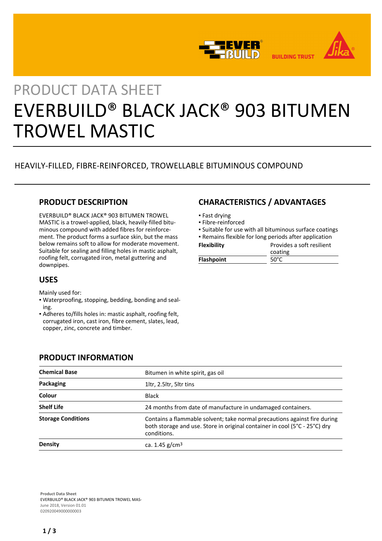



# PRODUCT DATA SHEET EVERBUILD® BLACK JACK® 903 BITUMEN TROWEL MASTIC

# HEAVILY-FILLED, FIBRE-REINFORCED, TROWELLABLE BITUMINOUS COMPOUND

## **PRODUCT DESCRIPTION**

EVERBUILD® BLACK JACK® 903 BITUMEN TROWEL MASTIC is a trowel-applied, black, heavily-filled bituminous compound with added fibres for reinforcement. The product forms a surface skin, but the mass below remains soft to allow for moderate movement. Suitable for sealing and filling holes in mastic asphalt, roofing felt, corrugated iron, metal guttering and downpipes.

## **USES**

Mainly used for:

- Waterproofing, stopping, bedding, bonding and seal-▪ ing.
- Adheres to/fills holes in: mastic asphalt, roofing felt, corrugated iron, cast iron, fibre cement, slates, lead, copper, zinc, concrete and timber.

# **CHARACTERISTICS / ADVANTAGES**

- Fast drying
- Fibre-reinforced
- Suitable for use with all bituminous surface coatings

| <b>Flashpoint</b>  | 50°C                                                  |
|--------------------|-------------------------------------------------------|
|                    | coating                                               |
| <b>Flexibility</b> | Provides a soft resilient                             |
|                    | • Remains flexible for long periods after application |

## **PRODUCT INFORMATION**

| <b>Chemical Base</b>      | Bitumen in white spirit, gas oil                                                                                                                                       |
|---------------------------|------------------------------------------------------------------------------------------------------------------------------------------------------------------------|
| Packaging                 | 1ltr, 2.5ltr, 5ltr tins                                                                                                                                                |
| Colour                    | Black                                                                                                                                                                  |
| <b>Shelf Life</b>         | 24 months from date of manufacture in undamaged containers.                                                                                                            |
| <b>Storage Conditions</b> | Contains a flammable solvent; take normal precautions against fire during<br>both storage and use. Store in original container in cool (5°C - 25°C) dry<br>conditions. |
| Density                   | ca. 1.45 $g/cm3$                                                                                                                                                       |

**Product Data Sheet** EVERBUILD® BLACK JACK® 903 BITUMEN TROWEL MAS-June 2018, Version 01.01 020920049000000003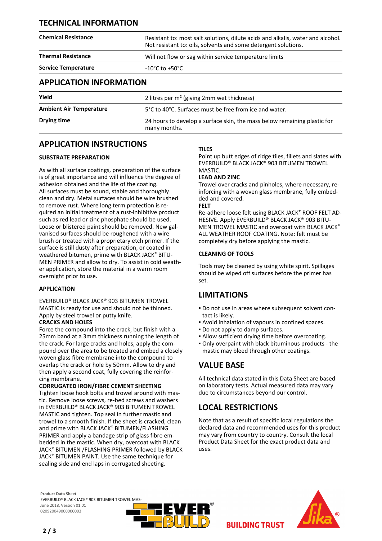## **TECHNICAL INFORMATION**

| <b>Chemical Resistance</b>     | Resistant to: most salt solutions, dilute acids and alkalis, water and alcohol.<br>Not resistant to: oils, solvents and some detergent solutions. |
|--------------------------------|---------------------------------------------------------------------------------------------------------------------------------------------------|
| <b>Thermal Resistance</b>      | Will not flow or sag within service temperature limits                                                                                            |
| <b>Service Temperature</b>     | $-10^{\circ}$ C to $+50^{\circ}$ C                                                                                                                |
| <b>APPLICATION INFORMATION</b> |                                                                                                                                                   |
| Yield                          | 2 litres per m <sup>2</sup> (giving 2mm wet thickness)                                                                                            |

**Ambient Air Temperature** 5°C to 40°C. Surfaces must be free from ice and water. **Drying time** 24 hours to develop a surface skin, the mass below remaining plastic for many months.

## **APPLICATION INSTRUCTIONS**

### **SUBSTRATE PREPARATION**

As with all surface coatings, preparation of the surface is of great importance and will influence the degree of adhesion obtained and the life of the coating. All surfaces must be sound, stable and thoroughly clean and dry. Metal surfaces should be wire brushed to remove rust. Where long term protection is required an initial treatment of a rust-inhibitive product such as red lead or zinc phosphate should be used. Loose or blistered paint should be removed. New galvanised surfaces should be roughened with a wire brush or treated with a proprietary etch primer. If the surface is still dusty after preparation, or coated in weathered bitumen, prime with BLACK JACK® BITU-MEN PRIMER and allow to dry. To assist in cold weather application, store the material in a warm room overnight prior to use.

### **APPLICATION**

EVERBUILD® BLACK JACK® 903 BITUMEN TROWEL MASTIC is ready for use and should not be thinned. Apply by steel trowel or putty knife.

## **CRACKS AND HOLES**

Force the compound into the crack, but finish with a 25mm band at a 3mm thickness running the length of the crack. For large cracks and holes, apply the compound over the area to be treated and embed a closely woven glass fibre membrane into the compound to overlap the crack or hole by 50mm. Allow to dry and then apply a second coat, fully covering the reinforcing membrane.

### **CORRUGATED IRON/FIBRE CEMENT SHEETING**

Tighten loose hook bolts and trowel around with mastic. Remove loose screws, re-bed screws and washers in EVERBUILD® BLACK JACK® 903 BITUMEN TROWEL MASTIC and tighten. Top seal in further mastic and trowel to a smooth finish. If the sheet is cracked, clean and prime with BLACK JACK® BITUMEN/FLASHING PRIMER and apply a bandage strip of glass fibre embedded in the mastic. When dry, overcoat with BLACK JACK® BITUMEN /FLASHING PRIMER followed by BLACK JACK® BITUMEN PAINT. Use the same technique for sealing side and end laps in corrugated sheeting.

## **TILES**

Point up butt edges of ridge tiles, fillets and slates with EVERBUILD® BLACK JACK® 903 BITUMEN TROWEL MASTIC.

#### **LEAD AND ZINC**

Trowel over cracks and pinholes, where necessary, reinforcing with a woven glass membrane, fully embedded and covered.

#### **FELT**

Re-adhere loose felt using BLACK JACK® ROOF FELT AD-HESIVE. Apply EVERBUILD® BLACK JACK® 903 BITU-MEN TROWEL MASTIC and overcoat with BLACK JACK® ALL WEATHER ROOF COATING. Note: felt must be completely dry before applying the mastic.

### **CLEANING OF TOOLS**

Tools may be cleaned by using white spirit. Spillages should be wiped off surfaces before the primer has set.

## **LIMITATIONS**

- Do not use in areas where subsequent solvent con-▪ tact is likely.
- Avoid inhalation of vapours in confined spaces.
- Do not apply to damp surfaces.
- Allow sufficient drying time before overcoating.
- Only overpaint with black bituminous products the mastic may bleed through other coatings.

## **VALUE BASE**

All technical data stated in this Data Sheet are based on laboratory tests. Actual measured data may vary due to circumstances beyond our control.

## **LOCAL RESTRICTIONS**

Note that as a result of specific local regulations the declared data and recommended uses for this product may vary from country to country. Consult the local Product Data Sheet for the exact product data and uses.

**BUILDING TRUST** 

**Product Data Sheet** EVERBUILD® BLACK JACK® 903 BITUMEN TROWEL MAS-June 2018, Version 01.01 020920049000000003